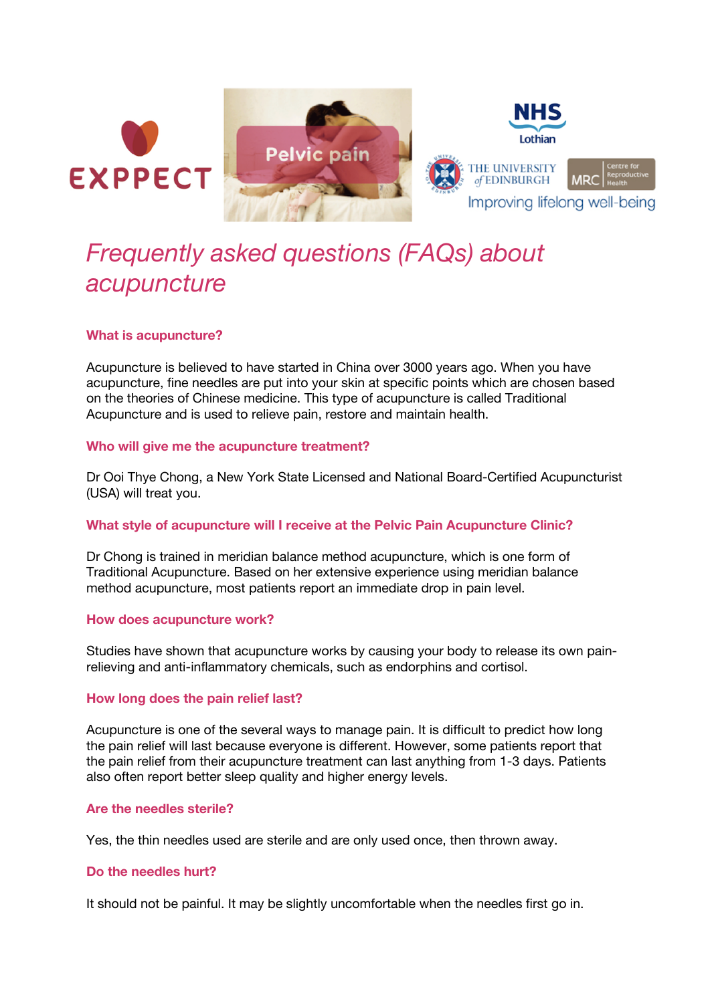





# *Frequently asked questions (FAQs) about acupuncture*

## **What is acupuncture?**

Acupuncture is believed to have started in China over 3000 years ago. When you have acupuncture, fine needles are put into your skin at specific points which are chosen based on the theories of Chinese medicine. This type of acupuncture is called Traditional Acupuncture and is used to relieve pain, restore and maintain health.

#### **Who will give me the acupuncture treatment?**

Dr Ooi Thye Chong, a New York State Licensed and National Board-Certified Acupuncturist (USA) will treat you.

## **What style of acupuncture will I receive at the Pelvic Pain Acupuncture Clinic?**

Dr Chong is trained in meridian balance method acupuncture, which is one form of Traditional Acupuncture. Based on her extensive experience using meridian balance method acupuncture, most patients report an immediate drop in pain level.

## **How does acupuncture work?**

Studies have shown that acupuncture works by causing your body to release its own painrelieving and anti-inflammatory chemicals, such as endorphins and cortisol.

## **How long does the pain relief last?**

Acupuncture is one of the several ways to manage pain. It is difficult to predict how long the pain relief will last because everyone is different. However, some patients report that the pain relief from their acupuncture treatment can last anything from 1-3 days. Patients also often report better sleep quality and higher energy levels.

## **Are the needles sterile?**

Yes, the thin needles used are sterile and are only used once, then thrown away.

## **Do the needles hurt?**

It should not be painful. It may be slightly uncomfortable when the needles first go in.